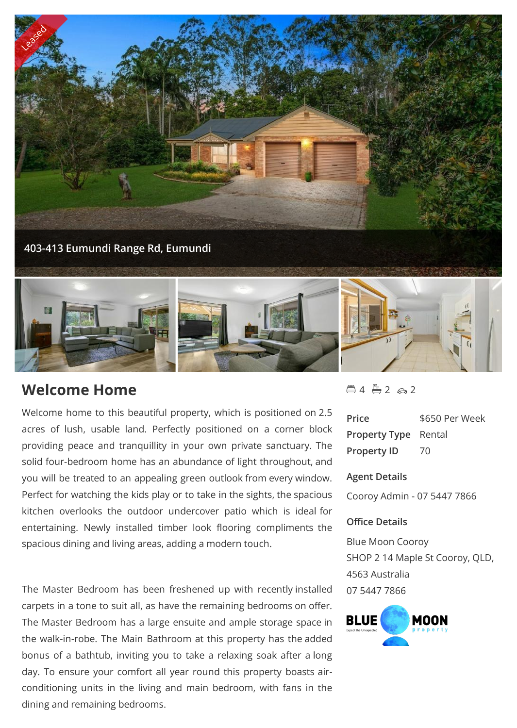

# **Welcome Home**

Welcome home to this beautiful property, which is positioned on 2.5 acres of lush, usable land. Perfectly positioned on a corner block providing peace and tranquillity in your own private sanctuary. The solid four-bedroom home has an abundance of light throughout, and you will be treated to an appealing green outlook from every window. Perfect for watching the kids play or to take in the sights, the spacious kitchen overlooks the outdoor undercover patio which is ideal for entertaining. Newly installed timber look flooring compliments the spacious dining and living areas, adding a modern touch.

The Master Bedroom has been freshened up with recently installed carpets in a tone to suit all, as have the remaining bedrooms on offer. The Master Bedroom has a large ensuite and ample storage space in **BLUE** the walk-in-robe. The Main Bathroom at this property has the added bonus of a bathtub, inviting you to take a relaxing soak after a long day. To ensure your comfort all year round this property boasts airconditioning units in the living and main bedroom, with fans in the dining and remaining bedrooms.

 $4 - 2 - 2$ 

| Price                       | \$650 Per Week |
|-----------------------------|----------------|
| <b>Property Type</b> Rental |                |
| <b>Property ID</b>          | 70             |

### **Agent Details**

Cooroy Admin - 07 5447 7866

## **Office Details**

Blue Moon Cooroy SHOP 2 14 Maple St Cooroy, QLD, 4563 Australia 07 5447 7866

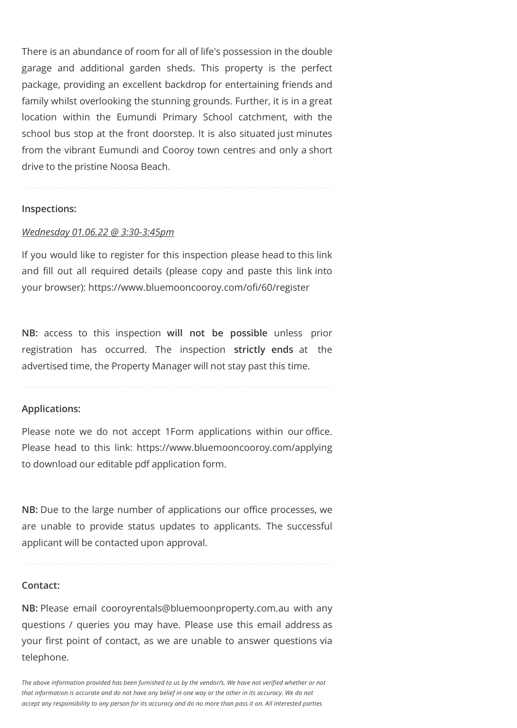There is an abundance of room for all of life's possession in the double garage and additional garden sheds. This property is the perfect package, providing an excellent backdrop for entertaining friends and family whilst overlooking the stunning grounds. Further, it is in a great location within the Eumundi Primary School catchment, with the school bus stop at the front doorstep. It is also situated just minutes from the vibrant Eumundi and Cooroy town centres and only a short drive to the pristine Noosa Beach.

### **Inspections:**

### *Wednesday 01.06.22 @ 3:30-3:45pm*

If you would like to register for this inspection please head to this link and fill out all required details (please copy and paste this link into your browser): https://www.bluemooncooroy.com/ofi/60/register

**NB:** access to this inspection **will not be possible** unless prior registration has occurred. The inspection **strictly ends** at the advertised time, the Property Manager will not stay past this time.

## **Applications:**

Please note we do not accept 1Form applications within our office. Please head to this link: https://www.bluemooncooroy.com/applying to download our editable pdf application form.

**NB:** Due to the large number of applications our office processes, we are unable to provide status updates to applicants. The successful applicant will be contacted upon approval.

#### **Contact:**

**NB:** Please email cooroyrentals@bluemoonproperty.com.au with any questions / queries you may have. Please use this email address as your first point of contact, as we are unable to answer questions via telephone.

*The above information provided has been furnished to us by the vendor/s. We have not verified whether or not that information is accurate and do not have any belief in one way or the other in its accuracy. We do not accept any responsibility to any person for its accuracy and do no more than pass it on. All interested parties*